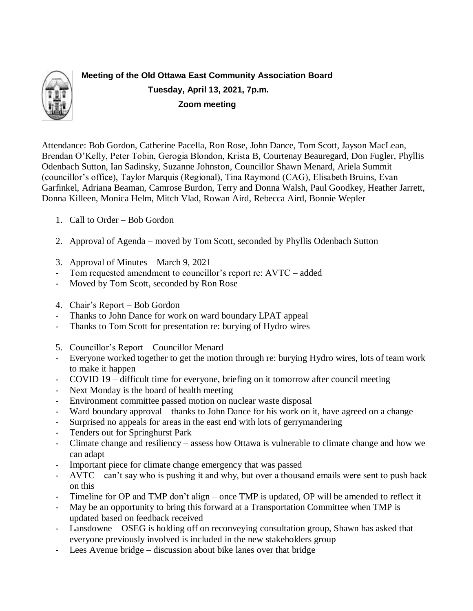

**Meeting of the Old Ottawa East Community Association Board Tuesday, April 13, 2021, 7p.m. Zoom meeting**

Attendance: Bob Gordon, Catherine Pacella, Ron Rose, John Dance, Tom Scott, Jayson MacLean, Brendan O'Kelly, Peter Tobin, Gerogia Blondon, Krista B, Courtenay Beauregard, Don Fugler, Phyllis Odenbach Sutton, Ian Sadinsky, Suzanne Johnston, Councillor Shawn Menard, Ariela Summit (councillor's office), Taylor Marquis (Regional), Tina Raymond (CAG), Elisabeth Bruins, Evan Garfinkel, Adriana Beaman, Camrose Burdon, Terry and Donna Walsh, Paul Goodkey, Heather Jarrett, Donna Killeen, Monica Helm, Mitch Vlad, Rowan Aird, Rebecca Aird, Bonnie Wepler

- 1. Call to Order Bob Gordon
- 2. Approval of Agenda moved by Tom Scott, seconded by Phyllis Odenbach Sutton
- 3. Approval of Minutes March 9, 2021
- Tom requested amendment to councillor's report re: AVTC added
- Moved by Tom Scott, seconded by Ron Rose
- 4. Chair's Report Bob Gordon
- Thanks to John Dance for work on ward boundary LPAT appeal
- Thanks to Tom Scott for presentation re: burying of Hydro wires
- 5. Councillor's Report Councillor Menard
- Everyone worked together to get the motion through re: burying Hydro wires, lots of team work to make it happen
- COVID 19 difficult time for everyone, briefing on it tomorrow after council meeting
- Next Monday is the board of health meeting
- Environment committee passed motion on nuclear waste disposal
- Ward boundary approval thanks to John Dance for his work on it, have agreed on a change
- Surprised no appeals for areas in the east end with lots of gerrymandering
- Tenders out for Springhurst Park
- Climate change and resiliency assess how Ottawa is vulnerable to climate change and how we can adapt
- Important piece for climate change emergency that was passed
- AVTC can't say who is pushing it and why, but over a thousand emails were sent to push back on this
- Timeline for OP and TMP don't align once TMP is updated, OP will be amended to reflect it
- May be an opportunity to bring this forward at a Transportation Committee when TMP is updated based on feedback received
- Lansdowne OSEG is holding off on reconveying consultation group, Shawn has asked that everyone previously involved is included in the new stakeholders group
- Lees Avenue bridge discussion about bike lanes over that bridge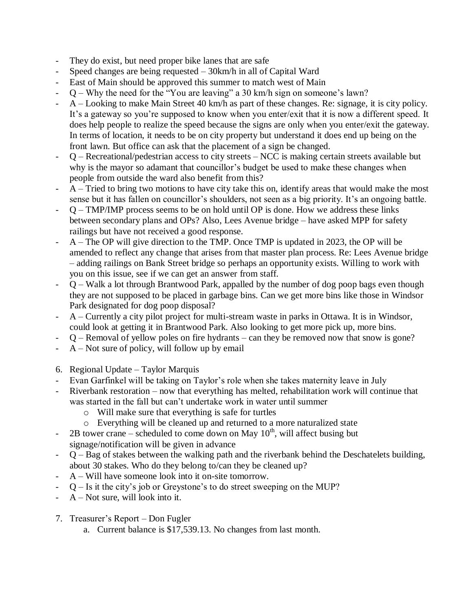- They do exist, but need proper bike lanes that are safe
- Speed changes are being requested  $-$  30km/h in all of Capital Ward
- East of Main should be approved this summer to match west of Main
- $Q$  Why the need for the "You are leaving" a 30 km/h sign on someone's lawn?
- A Looking to make Main Street 40 km/h as part of these changes. Re: signage, it is city policy. It's a gateway so you're supposed to know when you enter/exit that it is now a different speed. It does help people to realize the speed because the signs are only when you enter/exit the gateway. In terms of location, it needs to be on city property but understand it does end up being on the front lawn. But office can ask that the placement of a sign be changed.
- Q Recreational/pedestrian access to city streets NCC is making certain streets available but why is the mayor so adamant that councillor's budget be used to make these changes when people from outside the ward also benefit from this?
- $A -$  Tried to bring two motions to have city take this on, identify areas that would make the most sense but it has fallen on councillor's shoulders, not seen as a big priority. It's an ongoing battle.
- $Q TMP/IMP$  process seems to be on hold until OP is done. How we address these links between secondary plans and OPs? Also, Lees Avenue bridge – have asked MPP for safety railings but have not received a good response.
- $A$  The OP will give direction to the TMP. Once TMP is updated in 2023, the OP will be amended to reflect any change that arises from that master plan process. Re: Lees Avenue bridge – adding railings on Bank Street bridge so perhaps an opportunity exists. Willing to work with you on this issue, see if we can get an answer from staff.
- Q Walk a lot through Brantwood Park, appalled by the number of dog poop bags even though they are not supposed to be placed in garbage bins. Can we get more bins like those in Windsor Park designated for dog poop disposal?
- A Currently a city pilot project for multi-stream waste in parks in Ottawa. It is in Windsor, could look at getting it in Brantwood Park. Also looking to get more pick up, more bins.
- Q Removal of yellow poles on fire hydrants can they be removed now that snow is gone?
- A Not sure of policy, will follow up by email
- 6. Regional Update Taylor Marquis
- Evan Garfinkel will be taking on Taylor's role when she takes maternity leave in July
- Riverbank restoration now that everything has melted, rehabilitation work will continue that was started in the fall but can't undertake work in water until summer
	- o Will make sure that everything is safe for turtles
	- o Everything will be cleaned up and returned to a more naturalized state
- 2B tower crane scheduled to come down on May  $10<sup>th</sup>$ , will affect busing but signage/notification will be given in advance
- $Q Bag$  of stakes between the walking path and the riverbank behind the Deschatelets building, about 30 stakes. Who do they belong to/can they be cleaned up?
- A Will have someone look into it on-site tomorrow.
- $Q Is$  it the city's job or Greystone's to do street sweeping on the MUP?
- $A Not sure.$  will look into it.
- 7. Treasurer's Report Don Fugler
	- a. Current balance is \$17,539.13. No changes from last month.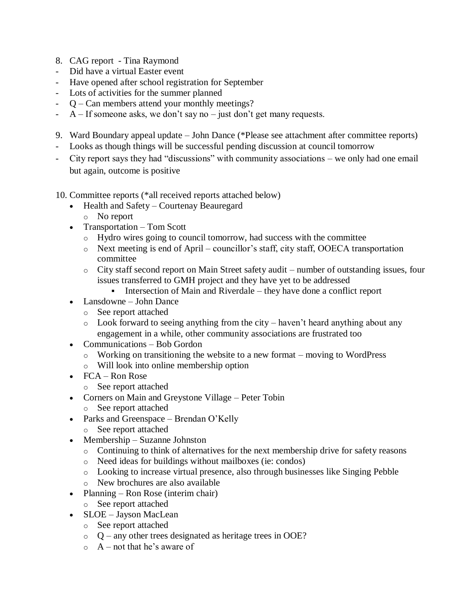- 8. CAG report Tina Raymond
- Did have a virtual Easter event
- Have opened after school registration for September
- Lots of activities for the summer planned
- Q Can members attend your monthly meetings?
- $A If$  someone asks, we don't say no just don't get many requests.
- 9. Ward Boundary appeal update John Dance (\*Please see attachment after committee reports)
- Looks as though things will be successful pending discussion at council tomorrow
- City report says they had "discussions" with community associations we only had one email but again, outcome is positive

10. Committee reports (\*all received reports attached below)

- Health and Safety Courtenay Beauregard
	- o No report
- Transportation Tom Scott
	- o Hydro wires going to council tomorrow, had success with the committee
	- o Next meeting is end of April councillor's staff, city staff, OOECA transportation committee
	- o City staff second report on Main Street safety audit number of outstanding issues, four issues transferred to GMH project and they have yet to be addressed
		- Intersection of Main and Riverdale they have done a conflict report
- Lansdowne John Dance
	- o See report attached
	- $\circ$  Look forward to seeing anything from the city haven't heard anything about any engagement in a while, other community associations are frustrated too
- Communications Bob Gordon
	- o Working on transitioning the website to a new format moving to WordPress
	- o Will look into online membership option
- FCA Ron Rose
	- o See report attached
- Corners on Main and Greystone Village Peter Tobin
	- o See report attached
- Parks and Greenspace Brendan O'Kelly
	- o See report attached
- Membership Suzanne Johnston
	- o Continuing to think of alternatives for the next membership drive for safety reasons
	- o Need ideas for buildings without mailboxes (ie: condos)
	- o Looking to increase virtual presence, also through businesses like Singing Pebble
	- o New brochures are also available
- Planning Ron Rose (interim chair)
	- o See report attached
- SLOE Jayson MacLean
	- o See report attached
	- o Q any other trees designated as heritage trees in OOE?
	- $\circ$  A not that he's aware of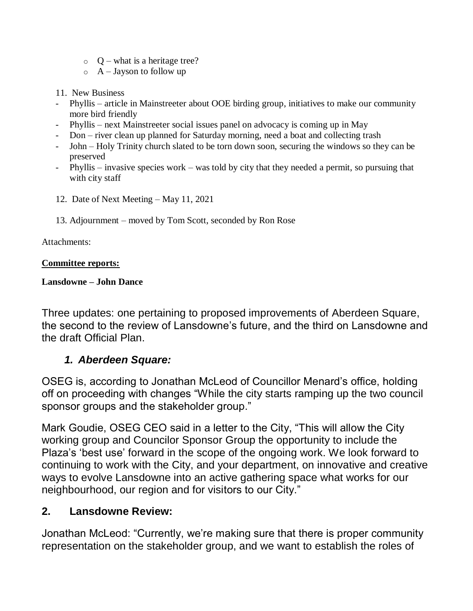- $\circ$  O what is a heritage tree?
- $\circ$  A Jayson to follow up
- 11. New Business
- Phyllis article in Mainstreeter about OOE birding group, initiatives to make our community more bird friendly
- Phyllis next Mainstreeter social issues panel on advocacy is coming up in May
- Don river clean up planned for Saturday morning, need a boat and collecting trash
- John Holy Trinity church slated to be torn down soon, securing the windows so they can be preserved
- Phyllis invasive species work was told by city that they needed a permit, so pursuing that with city staff
- 12. Date of Next Meeting May 11, 2021
- 13. Adjournment moved by Tom Scott, seconded by Ron Rose

#### Attachments:

#### **Committee reports:**

#### **Lansdowne – John Dance**

Three updates: one pertaining to proposed improvements of Aberdeen Square, the second to the review of Lansdowne's future, and the third on Lansdowne and the draft Official Plan.

# *1. Aberdeen Square:*

OSEG is, according to Jonathan McLeod of Councillor Menard's office, holding off on proceeding with changes "While the city starts ramping up the two council sponsor groups and the stakeholder group."

Mark Goudie, OSEG CEO said in a letter to the City, "This will allow the City working group and Councilor Sponsor Group the opportunity to include the Plaza's 'best use' forward in the scope of the ongoing work. We look forward to continuing to work with the City, and your department, on innovative and creative ways to evolve Lansdowne into an active gathering space what works for our neighbourhood, our region and for visitors to our City."

# **2. Lansdowne Review:**

Jonathan McLeod: "Currently, we're making sure that there is proper community representation on the stakeholder group, and we want to establish the roles of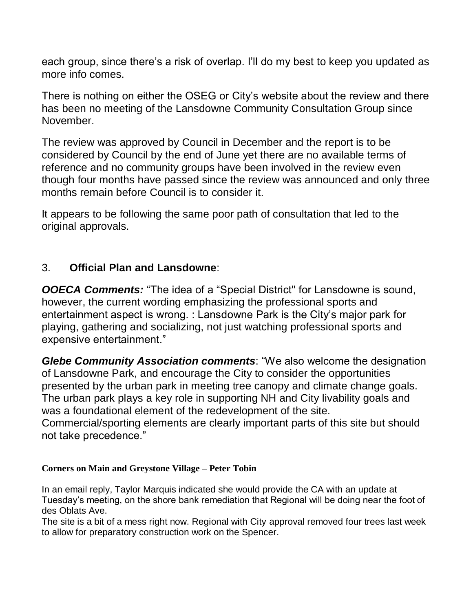each group, since there's a risk of overlap. I'll do my best to keep you updated as more info comes.

There is nothing on either the OSEG or City's website about the review and there has been no meeting of the Lansdowne Community Consultation Group since November.

The review was approved by Council in December and the report is to be considered by Council by the end of June yet there are no available terms of reference and no community groups have been involved in the review even though four months have passed since the review was announced and only three months remain before Council is to consider it.

It appears to be following the same poor path of consultation that led to the original approvals.

# 3. **Official Plan and Lansdowne**:

*OOECA Comments:* "The idea of a "Special District'' for Lansdowne is sound, however, the current wording emphasizing the professional sports and entertainment aspect is wrong. : Lansdowne Park is the City's major park for playing, gathering and socializing, not just watching professional sports and expensive entertainment."

*Glebe Community Association comments*: "We also welcome the designation of Lansdowne Park, and encourage the City to consider the opportunities presented by the urban park in meeting tree canopy and climate change goals. The urban park plays a key role in supporting NH and City livability goals and was a foundational element of the redevelopment of the site. Commercial/sporting elements are clearly important parts of this site but should not take precedence."

## **Corners on Main and Greystone Village – Peter Tobin**

In an email reply, Taylor Marquis indicated she would provide the CA with an update at Tuesday's meeting, on the shore bank remediation that Regional will be doing near the foot of des Oblats Ave.

The site is a bit of a mess right now. Regional with City approval removed four trees last week to allow for preparatory construction work on the Spencer.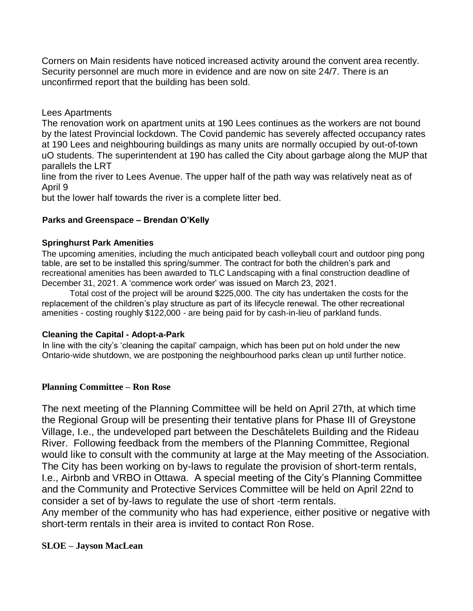Corners on Main residents have noticed increased activity around the convent area recently. Security personnel are much more in evidence and are now on site 24/7. There is an unconfirmed report that the building has been sold.

#### Lees Apartments

The renovation work on apartment units at 190 Lees continues as the workers are not bound by the latest Provincial lockdown. The Covid pandemic has severely affected occupancy rates at 190 Lees and neighbouring buildings as many units are normally occupied by out-of-town uO students. The superintendent at 190 has called the City about garbage along the MUP that parallels the LRT

line from the river to Lees Avenue. The upper half of the path way was relatively neat as of April 9

but the lower half towards the river is a complete litter bed.

#### **Parks and Greenspace – Brendan O'Kelly**

#### **Springhurst Park Amenities**

The upcoming amenities, including the much anticipated beach volleyball court and outdoor ping pong table, are set to be installed this spring/summer. The contract for both the children's park and recreational amenities has been awarded to TLC Landscaping with a final construction deadline of December 31, 2021. A 'commence work order' was issued on March 23, 2021.

Total cost of the project will be around \$225,000. The city has undertaken the costs for the replacement of the children's play structure as part of its lifecycle renewal. The other recreational amenities - costing roughly \$122,000 - are being paid for by cash-in-lieu of parkland funds.

#### **Cleaning the Capital - Adopt-a-Park**

In line with the city's 'cleaning the capital' campaign, which has been put on hold under the new Ontario-wide shutdown, we are postponing the neighbourhood parks clean up until further notice.

### **Planning Committee – Ron Rose**

The next meeting of the Planning Committee will be held on April 27th, at which time the Regional Group will be presenting their tentative plans for Phase III of Greystone Village, I.e., the undeveloped part between the Deschâtelets Building and the Rideau River. Following feedback from the members of the Planning Committee, Regional would like to consult with the community at large at the May meeting of the Association. The City has been working on by-laws to regulate the provision of short-term rentals, I.e., Airbnb and VRBO in Ottawa. A special meeting of the City's Planning Committee and the Community and Protective Services Committee will be held on April 22nd to consider a set of by-laws to regulate the use of short -term rentals.

Any member of the community who has had experience, either positive or negative with short-term rentals in their area is invited to contact Ron Rose.

### **SLOE – Jayson MacLean**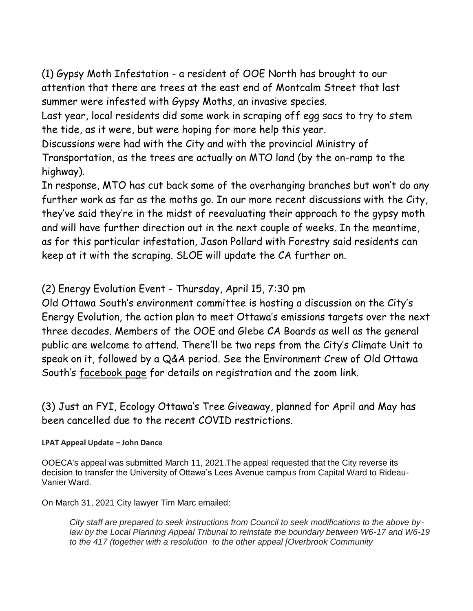(1) Gypsy Moth Infestation - a resident of OOE North has brought to our attention that there are trees at the east end of Montcalm Street that last summer were infested with Gypsy Moths, an invasive species.

Last year, local residents did some work in scraping off egg sacs to try to stem the tide, as it were, but were hoping for more help this year.

Discussions were had with the City and with the provincial Ministry of Transportation, as the trees are actually on MTO land (by the on-ramp to the highway).

In response, MTO has cut back some of the overhanging branches but won't do any further work as far as the moths go. In our more recent discussions with the City, they've said they're in the midst of reevaluating their approach to the gypsy moth and will have further direction out in the next couple of weeks. In the meantime, as for this particular infestation, Jason Pollard with Forestry said residents can keep at it with the scraping. SLOE will update the CA further on.

(2) Energy Evolution Event - Thursday, April 15, 7:30 pm

Old Ottawa South's environment committee is hosting a discussion on the City's Energy Evolution, the action plan to meet Ottawa's emissions targets over the next three decades. Members of the OOE and Glebe CA Boards as well as the general public are welcome to attend. There'll be two reps from the City's Climate Unit to speak on it, followed by a Q&A period. See the Environment Crew of Old Ottawa South's [facebook page](https://www.facebook.com/EnviroOOS) for details on registration and the zoom link.

(3) Just an FYI, Ecology Ottawa's Tree Giveaway, planned for April and May has been cancelled due to the recent COVID restrictions.

## **LPAT Appeal Update – John Dance**

OOECA's appeal was submitted March 11, 2021.The appeal requested that the City reverse its decision to transfer the University of Ottawa's Lees Avenue campus from Capital Ward to Rideau-Vanier Ward.

On March 31, 2021 City lawyer Tim Marc emailed:

*City staff are prepared to seek instructions from Council to seek modifications to the above bylaw by the Local Planning Appeal Tribunal to reinstate the boundary between W6-17 and W6-19 to the 417 (together with a resolution to the other appeal [Overbrook Community*